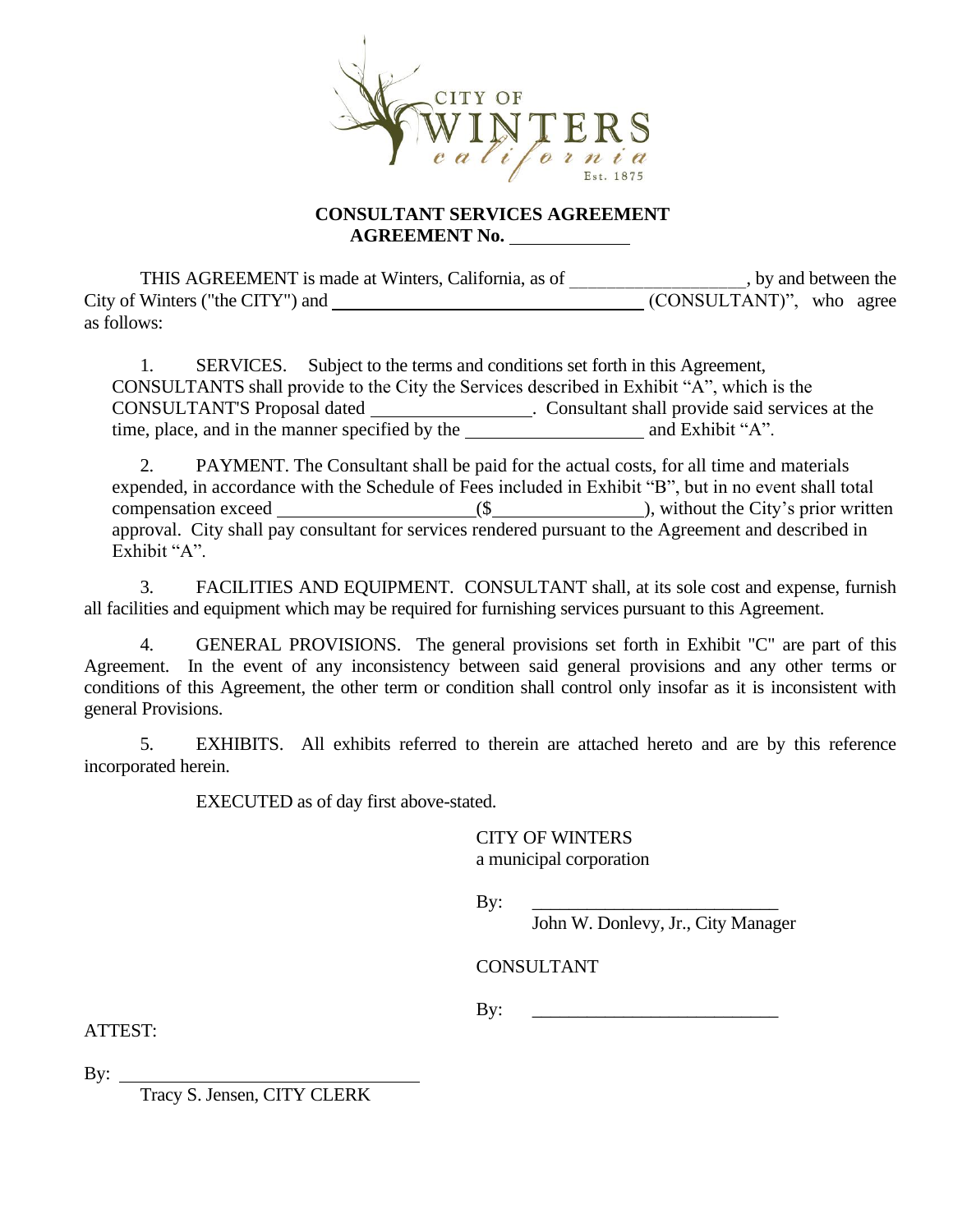

## **CONSULTANT SERVICES AGREEMENT AGREEMENT No.**

THIS AGREEMENT is made at Winters, California, as of \_\_\_\_\_\_\_\_\_\_\_\_\_\_\_, by and between the Winters ("the CITY") and  $\overline{(\text{CONSULTANT})}$ ", who agree  $City of Winters$  ("the  $CITY"$ ) and as follows:

1. SERVICES. Subject to the terms and conditions set forth in this Agreement, CONSULTANTS shall provide to the City the Services described in Exhibit "A", which is the CONSULTANT'S Proposal dated . Consultant shall provide said services at the time, place, and in the manner specified by the and Exhibit "A".

2. PAYMENT. The Consultant shall be paid for the actual costs, for all time and materials expended, in accordance with the Schedule of Fees included in Exhibit "B", but in no event shall total compensation exceed (\$ ), without the City's prior written approval. City shall pay consultant for services rendered pursuant to the Agreement and described in Exhibit "A".

3. FACILITIES AND EQUIPMENT. CONSULTANT shall, at its sole cost and expense, furnish all facilities and equipment which may be required for furnishing services pursuant to this Agreement.

4. GENERAL PROVISIONS. The general provisions set forth in Exhibit "C" are part of this Agreement. In the event of any inconsistency between said general provisions and any other terms or conditions of this Agreement, the other term or condition shall control only insofar as it is inconsistent with general Provisions.

5. EXHIBITS. All exhibits referred to therein are attached hereto and are by this reference incorporated herein.

EXECUTED as of day first above-stated.

CITY OF WINTERS a municipal corporation

By: \_\_\_\_\_\_\_\_\_\_\_\_\_\_\_\_\_\_\_\_\_\_\_\_\_\_\_

John W. Donlevy, Jr., City Manager

CONSULTANT

 $\mathbf{By:}$ 

ATTEST:

By:

Tracy S. Jensen, CITY CLERK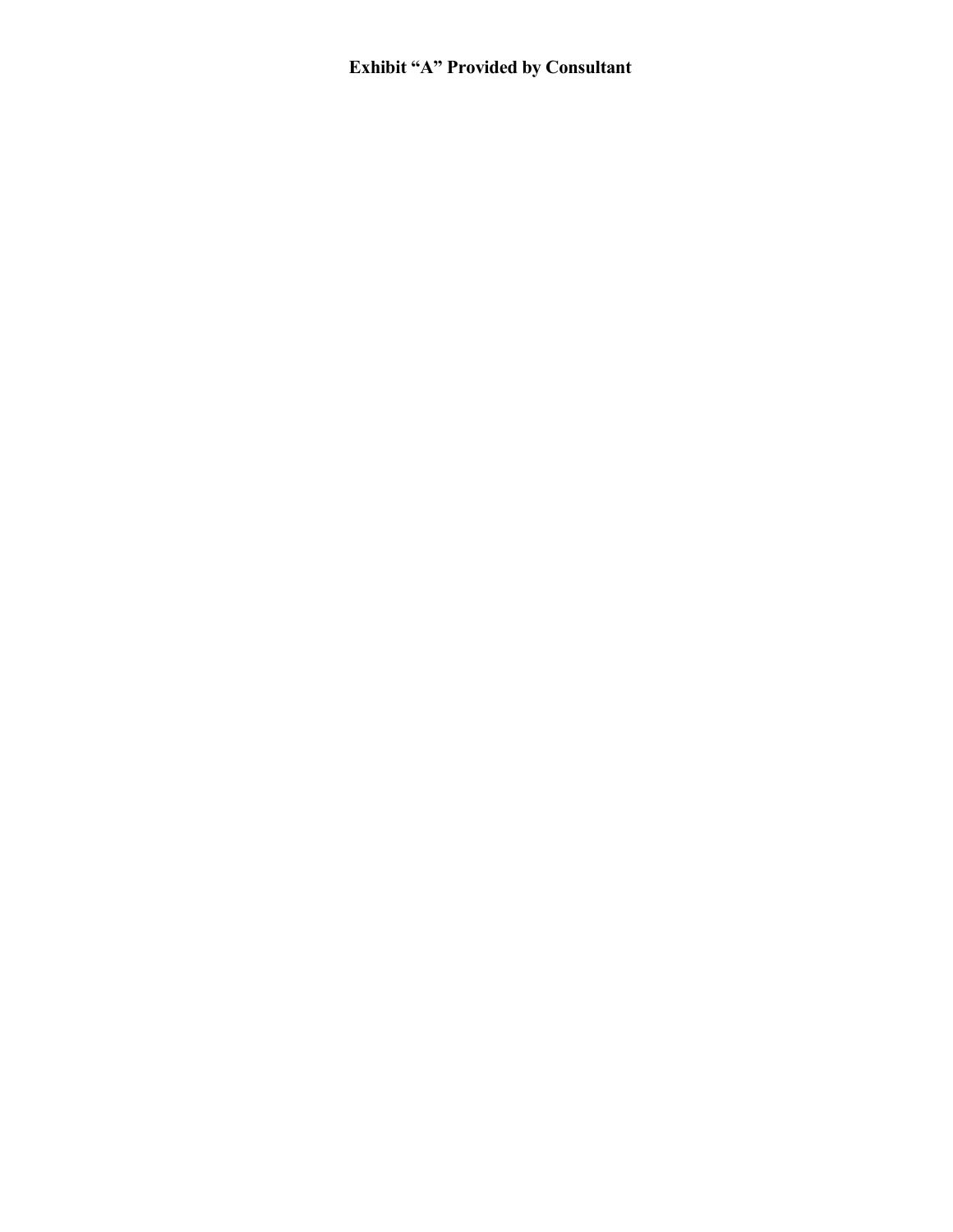## **Exhibit "A" Provided by Consultant**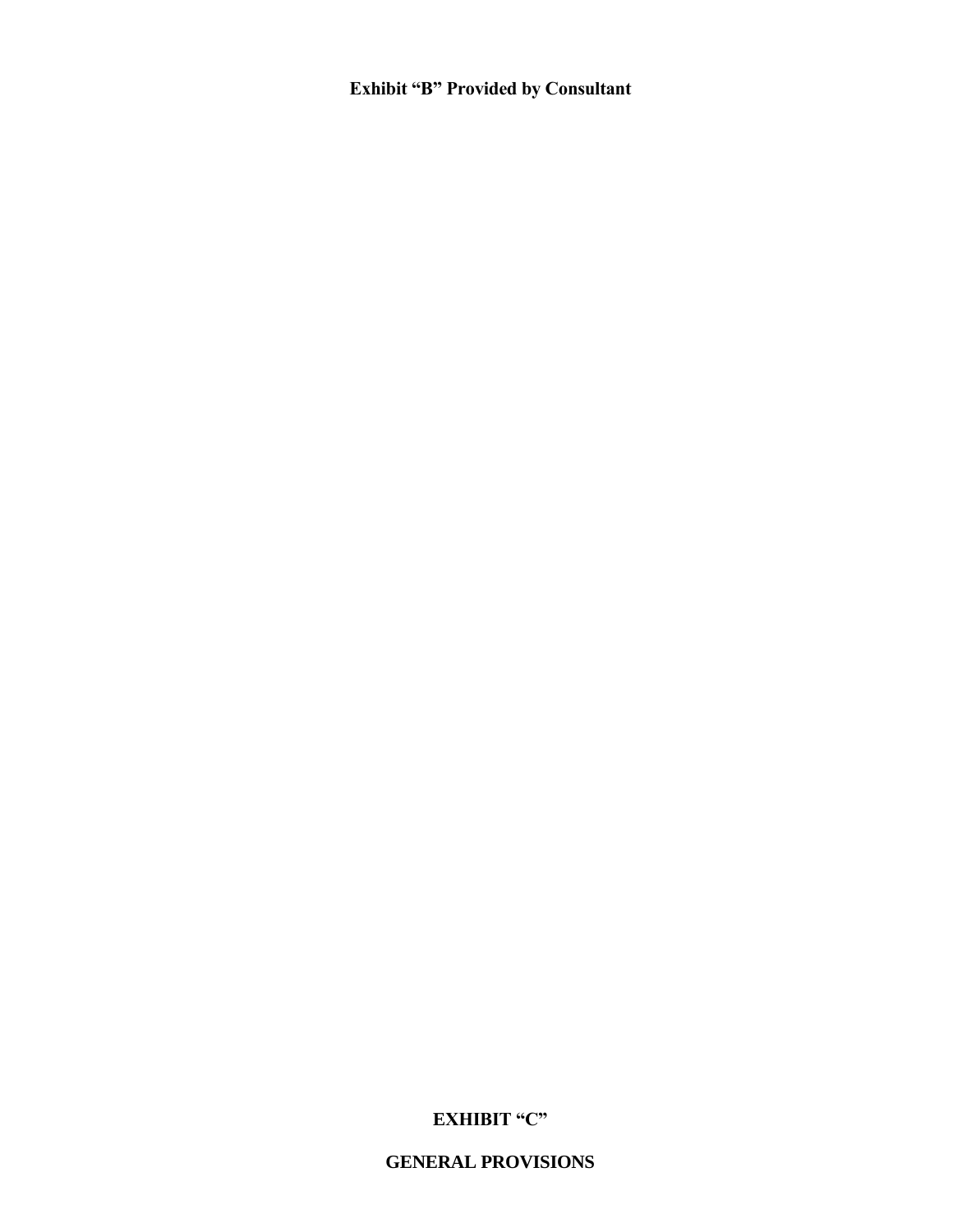## **GENERAL PROVISIONS**

## **EXHIBIT "C"**

**Exhibit "B" Provided by Consultant**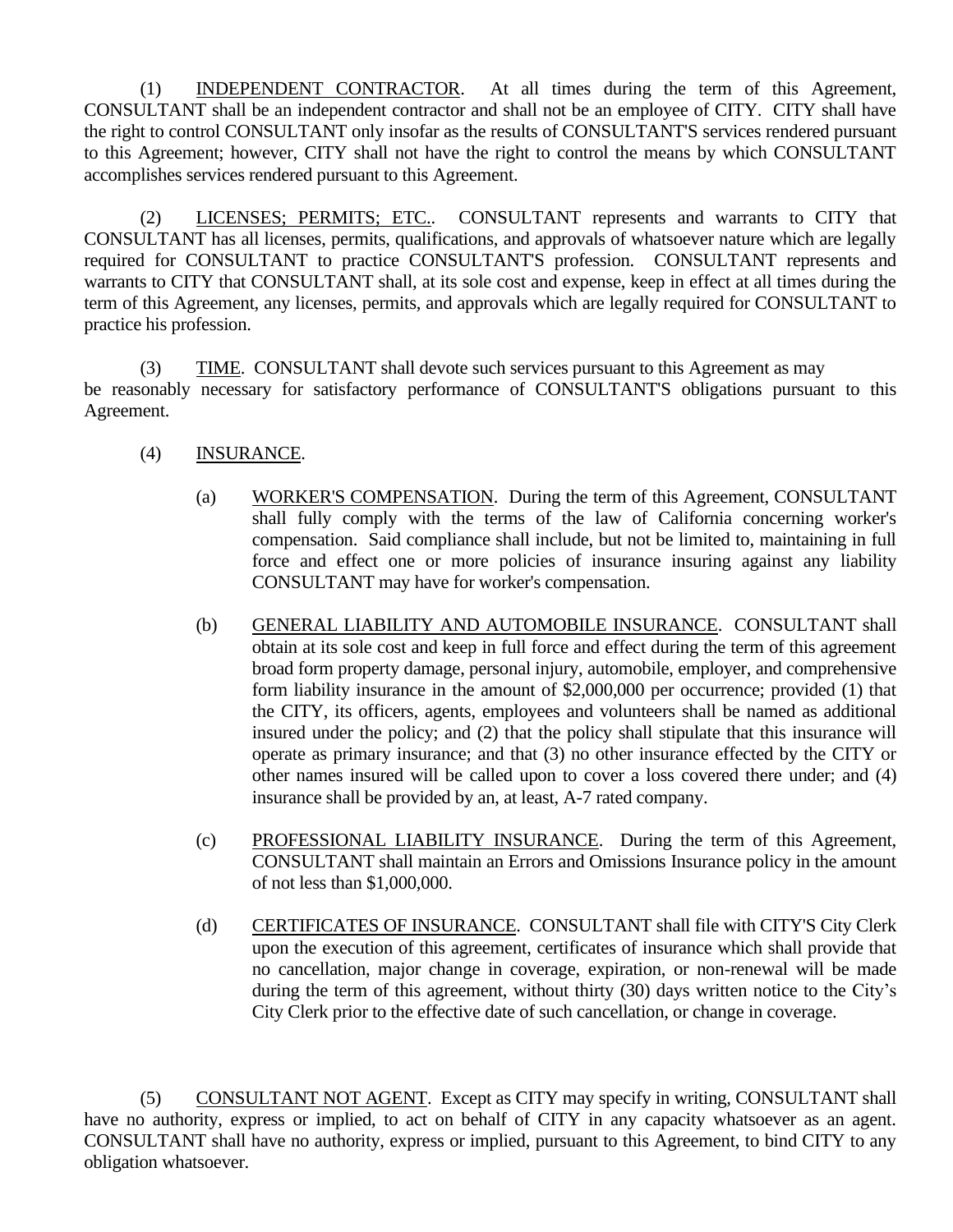(1) INDEPENDENT CONTRACTOR. At all times during the term of this Agreement, CONSULTANT shall be an independent contractor and shall not be an employee of CITY. CITY shall have the right to control CONSULTANT only insofar as the results of CONSULTANT'S services rendered pursuant to this Agreement; however, CITY shall not have the right to control the means by which CONSULTANT accomplishes services rendered pursuant to this Agreement.

(2) LICENSES; PERMITS; ETC.. CONSULTANT represents and warrants to CITY that CONSULTANT has all licenses, permits, qualifications, and approvals of whatsoever nature which are legally required for CONSULTANT to practice CONSULTANT'S profession. CONSULTANT represents and warrants to CITY that CONSULTANT shall, at its sole cost and expense, keep in effect at all times during the term of this Agreement, any licenses, permits, and approvals which are legally required for CONSULTANT to practice his profession.

(3) TIME. CONSULTANT shall devote such services pursuant to this Agreement as may be reasonably necessary for satisfactory performance of CONSULTANT'S obligations pursuant to this Agreement.

- (4) INSURANCE.
	- (a) WORKER'S COMPENSATION. During the term of this Agreement, CONSULTANT shall fully comply with the terms of the law of California concerning worker's compensation. Said compliance shall include, but not be limited to, maintaining in full force and effect one or more policies of insurance insuring against any liability CONSULTANT may have for worker's compensation.
	- (b) GENERAL LIABILITY AND AUTOMOBILE INSURANCE. CONSULTANT shall obtain at its sole cost and keep in full force and effect during the term of this agreement broad form property damage, personal injury, automobile, employer, and comprehensive form liability insurance in the amount of \$2,000,000 per occurrence; provided (1) that the CITY, its officers, agents, employees and volunteers shall be named as additional insured under the policy; and (2) that the policy shall stipulate that this insurance will operate as primary insurance; and that (3) no other insurance effected by the CITY or other names insured will be called upon to cover a loss covered there under; and (4) insurance shall be provided by an, at least, A-7 rated company.
	- (c) PROFESSIONAL LIABILITY INSURANCE. During the term of this Agreement, CONSULTANT shall maintain an Errors and Omissions Insurance policy in the amount of not less than \$1,000,000.
	- (d) CERTIFICATES OF INSURANCE. CONSULTANT shall file with CITY'S City Clerk upon the execution of this agreement, certificates of insurance which shall provide that no cancellation, major change in coverage, expiration, or non-renewal will be made during the term of this agreement, without thirty (30) days written notice to the City's City Clerk prior to the effective date of such cancellation, or change in coverage.

(5) CONSULTANT NOT AGENT. Except as CITY may specify in writing, CONSULTANT shall have no authority, express or implied, to act on behalf of CITY in any capacity whatsoever as an agent. CONSULTANT shall have no authority, express or implied, pursuant to this Agreement, to bind CITY to any obligation whatsoever.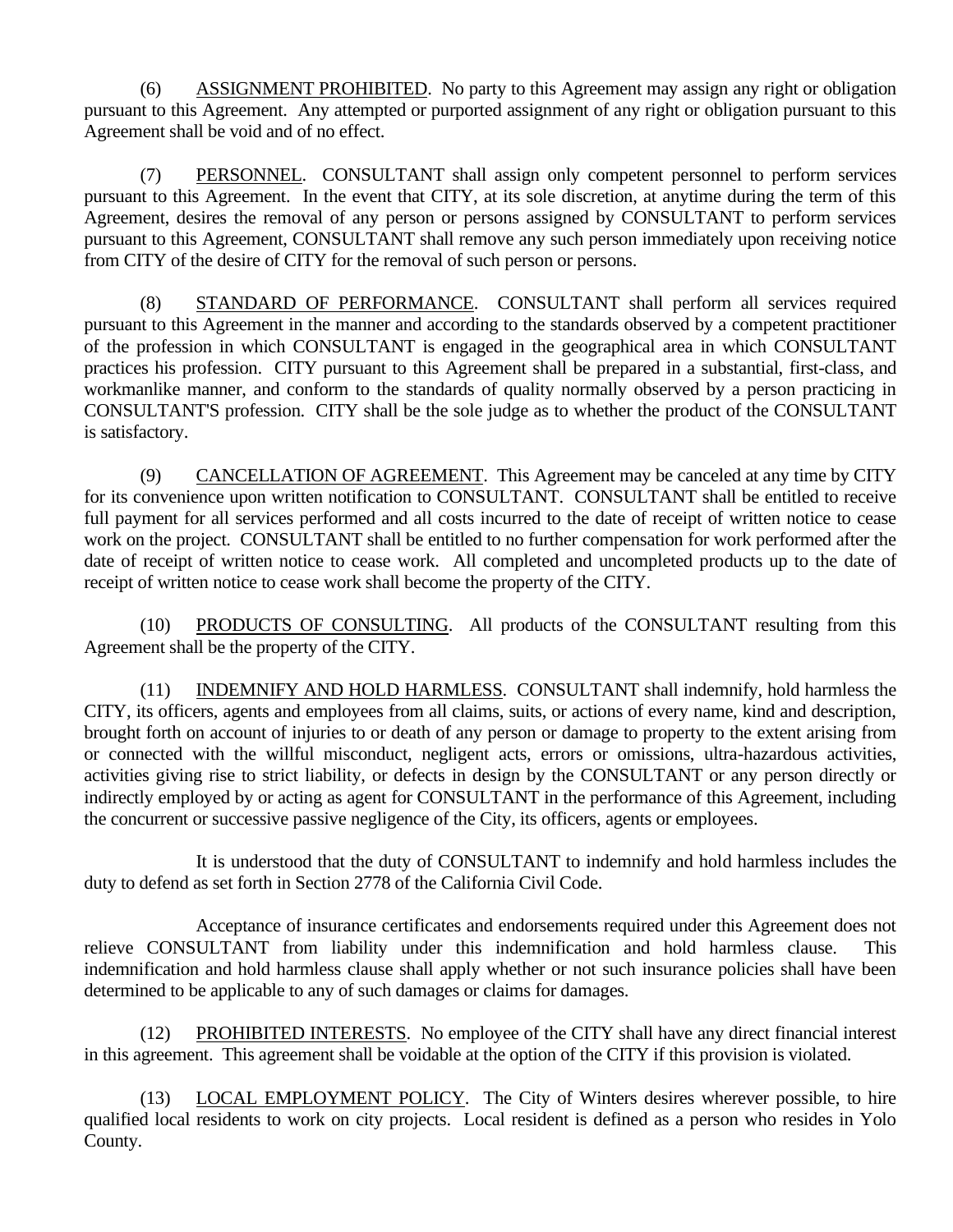(6) ASSIGNMENT PROHIBITED. No party to this Agreement may assign any right or obligation pursuant to this Agreement. Any attempted or purported assignment of any right or obligation pursuant to this Agreement shall be void and of no effect.

(7) PERSONNEL. CONSULTANT shall assign only competent personnel to perform services pursuant to this Agreement. In the event that CITY, at its sole discretion, at anytime during the term of this Agreement, desires the removal of any person or persons assigned by CONSULTANT to perform services pursuant to this Agreement, CONSULTANT shall remove any such person immediately upon receiving notice from CITY of the desire of CITY for the removal of such person or persons.

(8) STANDARD OF PERFORMANCE. CONSULTANT shall perform all services required pursuant to this Agreement in the manner and according to the standards observed by a competent practitioner of the profession in which CONSULTANT is engaged in the geographical area in which CONSULTANT practices his profession. CITY pursuant to this Agreement shall be prepared in a substantial, first-class, and workmanlike manner, and conform to the standards of quality normally observed by a person practicing in CONSULTANT'S profession. CITY shall be the sole judge as to whether the product of the CONSULTANT is satisfactory.

(9) CANCELLATION OF AGREEMENT. This Agreement may be canceled at any time by CITY for its convenience upon written notification to CONSULTANT. CONSULTANT shall be entitled to receive full payment for all services performed and all costs incurred to the date of receipt of written notice to cease work on the project. CONSULTANT shall be entitled to no further compensation for work performed after the date of receipt of written notice to cease work. All completed and uncompleted products up to the date of receipt of written notice to cease work shall become the property of the CITY.

(10) PRODUCTS OF CONSULTING. All products of the CONSULTANT resulting from this Agreement shall be the property of the CITY.

(11) INDEMNIFY AND HOLD HARMLESS. CONSULTANT shall indemnify, hold harmless the CITY, its officers, agents and employees from all claims, suits, or actions of every name, kind and description, brought forth on account of injuries to or death of any person or damage to property to the extent arising from or connected with the willful misconduct, negligent acts, errors or omissions, ultra-hazardous activities, activities giving rise to strict liability, or defects in design by the CONSULTANT or any person directly or indirectly employed by or acting as agent for CONSULTANT in the performance of this Agreement, including the concurrent or successive passive negligence of the City, its officers, agents or employees.

It is understood that the duty of CONSULTANT to indemnify and hold harmless includes the duty to defend as set forth in Section 2778 of the California Civil Code.

Acceptance of insurance certificates and endorsements required under this Agreement does not relieve CONSULTANT from liability under this indemnification and hold harmless clause. This indemnification and hold harmless clause shall apply whether or not such insurance policies shall have been determined to be applicable to any of such damages or claims for damages.

(12) PROHIBITED INTERESTS. No employee of the CITY shall have any direct financial interest in this agreement. This agreement shall be voidable at the option of the CITY if this provision is violated.

(13) LOCAL EMPLOYMENT POLICY. The City of Winters desires wherever possible, to hire qualified local residents to work on city projects. Local resident is defined as a person who resides in Yolo County.